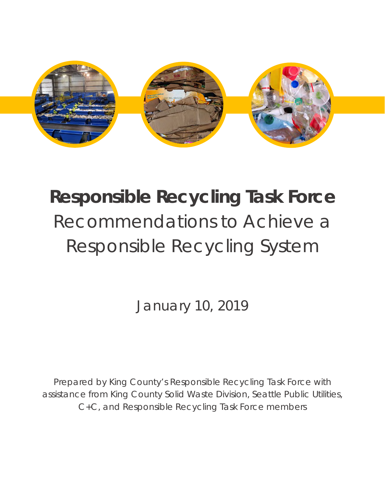

# **Responsible Recycling Task Force** Recommendations to Achieve a Responsible Recycling System

January 10, 2019

Prepared by King County's Responsible Recycling Task Force with assistance from King County Solid Waste Division, Seattle Public Utilities, C+C, and Responsible Recycling Task Force members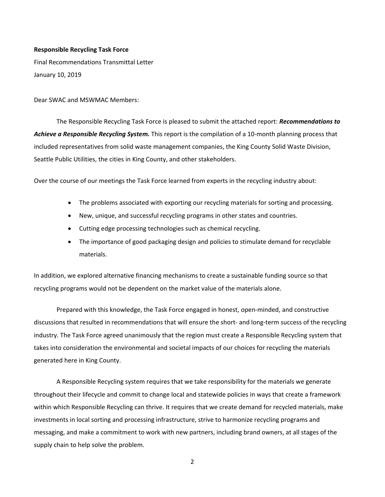#### **Responsible Recycling Task Force**

Final Recommendations Transmittal Letter January 10, 2019

Dear SWAC and MSWMAC Members:

The Responsible Recycling Task Force is pleased to submit the attached report: *Recommendations to Achieve a Responsible Recycling System.* This report is the compilation of a 10-month planning process that included representatives from solid waste management companies, the King County Solid Waste Division, Seattle Public Utilities, the cities in King County, and other stakeholders.

Over the course of our meetings the Task Force learned from experts in the recycling industry about:

- The problems associated with exporting our recycling materials for sorting and processing.
- New, unique, and successful recycling programs in other states and countries.
- Cutting edge processing technologies such as chemical recycling.
- The importance of good packaging design and policies to stimulate demand for recyclable materials.

In addition, we explored alternative financing mechanisms to create a sustainable funding source so that recycling programs would not be dependent on the market value of the materials alone.

Prepared with this knowledge, the Task Force engaged in honest, open-minded, and constructive discussions that resulted in recommendations that will ensure the short- and long-term success of the recycling industry. The Task Force agreed unanimously that the region must create a Responsible Recycling system that takes into consideration the environmental and societal impacts of our choices for recycling the materials generated here in King County.

A Responsible Recycling system requires that we take responsibility for the materials we generate throughout their lifecycle and commit to change local and statewide policies in ways that create a framework within which Responsible Recycling can thrive. It requires that we create demand for recycled materials, make investments in local sorting and processing infrastructure, strive to harmonize recycling programs and messaging, and make a commitment to work with new partners, including brand owners, at all stages of the supply chain to help solve the problem.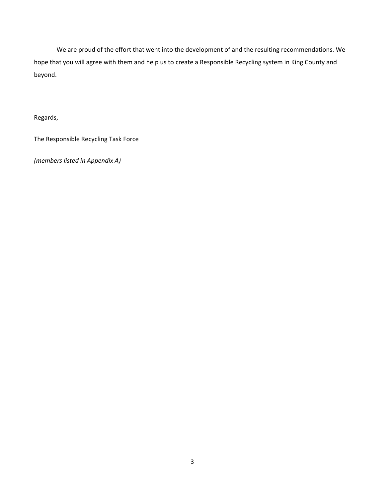We are proud of the effort that went into the development of and the resulting recommendations. We hope that you will agree with them and help us to create a Responsible Recycling system in King County and beyond.

Regards,

The Responsible Recycling Task Force

*(members listed in Appendix A)*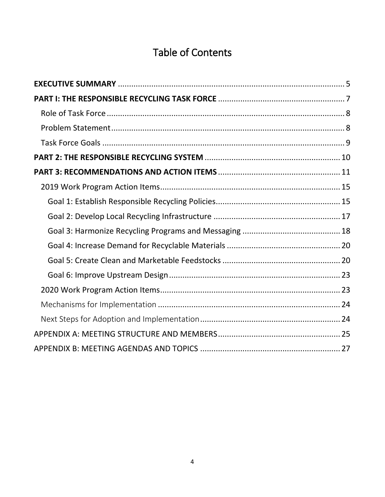# Table of Contents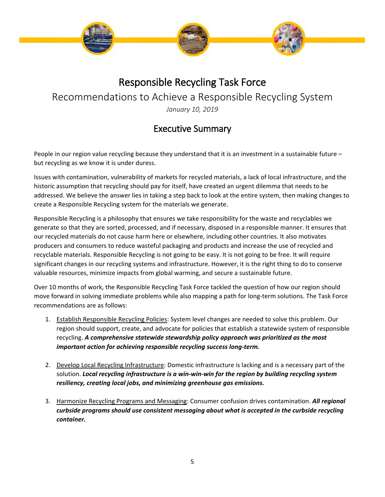

## Responsible Recycling Task Force

Recommendations to Achieve a Responsible Recycling System

*January 10, 2019*

## Executive Summary

<span id="page-4-0"></span>People in our region value recycling because they understand that it is an investment in a sustainable future – but recycling as we know it is under duress.

Issues with contamination, vulnerability of markets for recycled materials, a lack of local infrastructure, and the historic assumption that recycling should pay for itself, have created an urgent dilemma that needs to be addressed. We believe the answer lies in taking a step back to look at the entire system, then making changes to create a Responsible Recycling system for the materials we generate.

Responsible Recycling is a philosophy that ensures we take responsibility for the waste and recyclables we generate so that they are sorted, processed, and if necessary, disposed in a responsible manner. It ensures that our recycled materials do not cause harm here or elsewhere, including other countries. It also motivates producers and consumers to reduce wasteful packaging and products and increase the use of recycled and recyclable materials. Responsible Recycling is not going to be easy. It is not going to be free. It will require significant changes in our recycling systems and infrastructure. However, it is the right thing to do to conserve valuable resources, minimize impacts from global warming, and secure a sustainable future.

Over 10 months of work, the Responsible Recycling Task Force tackled the question of how our region should move forward in solving immediate problems while also mapping a path for long-term solutions. The Task Force recommendations are as follows:

- 1. Establish Responsible Recycling Policies: System level changes are needed to solve this problem. Our region should support, create, and advocate for policies that establish a statewide system of responsible recycling. *A comprehensive statewide stewardship policy approach was prioritized as the most important action for achieving responsible recycling success long-term.*
- 2. Develop Local Recycling Infrastructure: Domestic infrastructure is lacking and is a necessary part of the solution. *Local recycling infrastructure is a win-win-win for the region by building recycling system resiliency, creating local jobs, and minimizing greenhouse gas emissions.*
- 3. Harmonize Recycling Programs and Messaging: Consumer confusion drives contamination. *All regional curbside programs should use consistent messaging about what is accepted in the curbside recycling container.*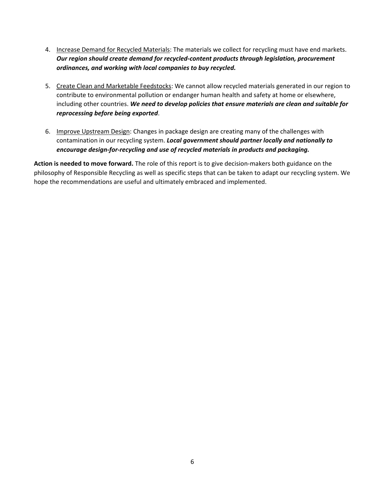- 4. Increase Demand for Recycled Materials: The materials we collect for recycling must have end markets. *Our region should create demand for recycled-content products through legislation, procurement ordinances, and working with local companies to buy recycled.*
- 5. Create Clean and Marketable Feedstocks: We cannot allow recycled materials generated in our region to contribute to environmental pollution or endanger human health and safety at home or elsewhere, including other countries. *We need to develop policies that ensure materials are clean and suitable for reprocessing before being exported*.
- 6. Improve Upstream Design: Changes in package design are creating many of the challenges with contamination in our recycling system. *Local government should partner locally and nationally to encourage design-for-recycling and use of recycled materials in products and packaging.*

**Action is needed to move forward.** The role of this report is to give decision-makers both guidance on the philosophy of Responsible Recycling as well as specific steps that can be taken to adapt our recycling system. We hope the recommendations are useful and ultimately embraced and implemented.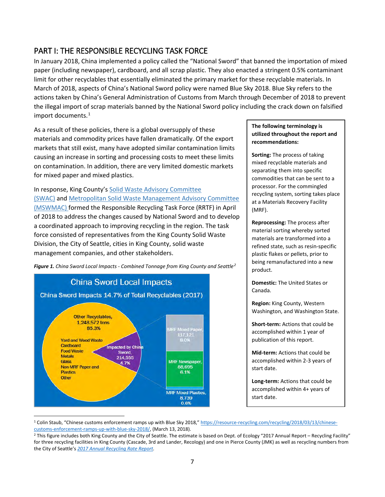## <span id="page-6-0"></span>PART I: THE RESPONSIBLE RECYCLING TASK FORCE

In January 2018, China implemented a policy called the "National Sword" that banned the importation of mixed paper (including newspaper), cardboard, and all scrap plastic. They also enacted a stringent 0.5% contaminant limit for other recyclables that essentially eliminated the primary market for these recyclable materials. In March of 2018, aspects of China's National Sword policy were named Blue Sky 2018. Blue Sky refers to the actions taken by China's General Administration of Customs from March through December of 2018 to prevent the illegal import of scrap materials banned by the National Sword policy including the crack down on falsified import documents. $<sup>1</sup>$  $<sup>1</sup>$  $<sup>1</sup>$ </sup>

As a result of these policies, there is a global oversupply of these materials and commodity prices have fallen dramatically. Of the export markets that still exist, many have adopted similar contamination limits causing an increase in sorting and processing costs to meet these limits on contamination. In addition, there are very limited domestic markets for mixed paper and mixed plastics.

In response, King County's [Solid Waste Advisory Committee](https://kingcounty.gov/depts/dnrp/solid-waste/about/advisory-committees/swac.aspx)  [\(SWAC\)](https://kingcounty.gov/depts/dnrp/solid-waste/about/advisory-committees/swac.aspx) and [Metropolitan Solid Waste Management Advisory Committee](https://kingcounty.gov/depts/dnrp/solid-waste/about/advisory-committees/mswmac.aspx)  [\(MSWMAC\)](https://kingcounty.gov/depts/dnrp/solid-waste/about/advisory-committees/mswmac.aspx) formed the Responsible Recycling Task Force (RRTF) in April of 2018 to address the changes caused by National Sword and to develop a coordinated approach to improving recycling in the region. The task force consisted of representatives from the King County Solid Waste Division, the City of Seattle, cities in King County, solid waste management companies, and other stakeholders.



 $\overline{\phantom{a}}$ 

*Figure 1. China Sword Local Impacts - Combined Tonnage from King County and Seattle[2](#page-6-2)*

#### **The following terminology is utilized throughout the report and recommendations:**

**Sorting:** The process of taking mixed recyclable materials and separating them into specific commodities that can be sent to a processor. For the commingled recycling system, sorting takes place at a Materials Recovery Facility (MRF).

**Reprocessing:** The process after material sorting whereby sorted materials are transformed into a refined state, such as resin-specific plastic flakes or pellets, prior to being remanufactured into a new product.

**Domestic:** The United States or Canada.

**Region:** King County, Western Washington, and Washington State.

**Short-term:** Actions that could be accomplished within 1 year of publication of this report.

**Mid-term:** Actions that could be accomplished within 2-3 years of start date.

**Long-term:** Actions that could be accomplished within 4+ years of start date.

<span id="page-6-1"></span><sup>&</sup>lt;sup>1</sup> Colin Staub, "Chinese customs enforcement ramps up with Blue Sky 2018,[" https://resource-recycling.com/recycling/2018/03/13/chinese](https://resource-recycling.com/recycling/2018/03/13/chinese-customs-enforcement-ramps-up-with-blue-sky-2018/)[customs-enforcement-ramps-up-with-blue-sky-2018/,](https://resource-recycling.com/recycling/2018/03/13/chinese-customs-enforcement-ramps-up-with-blue-sky-2018/) (March 13, 2018). 2018. 2018 on Dept. of Ecology "2017 Annual Report – Recycling Facility" expate 2 This figure includes both King County and the City of Seattle. The estim

<span id="page-6-2"></span>for three recycling facilities in King County (Cascade, 3rd and Lander, Recology) and one in Pierce County (JMK) as well as recycling numbers from the City of Seattle's *[2017 Annual Recycling Rate Report.](http://www.seattle.gov/util/cs/groups/public/@spu/@garbage/documents/webcontent/1_076557.pdf)*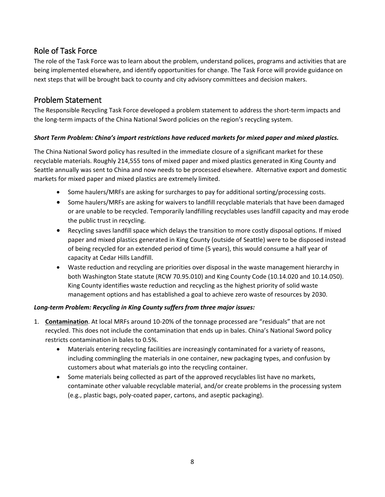## <span id="page-7-0"></span>Role of Task Force

The role of the Task Force was to learn about the problem, understand polices, programs and activities that are being implemented elsewhere, and identify opportunities for change. The Task Force will provide guidance on next steps that will be brought back to county and city advisory committees and decision makers.

## <span id="page-7-1"></span>Problem Statement

The Responsible Recycling Task Force developed a problem statement to address the short-term impacts and the long-term impacts of the China National Sword policies on the region's recycling system.

#### *Short Term Problem: China's import restrictions have reduced markets for mixed paper and mixed plastics.*

The China National Sword policy has resulted in the immediate closure of a significant market for these recyclable materials. Roughly 214,555 tons of mixed paper and mixed plastics generated in King County and Seattle annually was sent to China and now needs to be processed elsewhere. Alternative export and domestic markets for mixed paper and mixed plastics are extremely limited.

- Some haulers/MRFs are asking for surcharges to pay for additional sorting/processing costs.
- Some haulers/MRFs are asking for waivers to landfill recyclable materials that have been damaged or are unable to be recycled. Temporarily landfilling recyclables uses landfill capacity and may erode the public trust in recycling.
- Recycling saves landfill space which delays the transition to more costly disposal options. If mixed paper and mixed plastics generated in King County (outside of Seattle) were to be disposed instead of being recycled for an extended period of time (5 years), this would consume a half year of capacity at Cedar Hills Landfill.
- Waste reduction and recycling are priorities over disposal in the waste management hierarchy in both Washington State statute (RCW 70.95.010) and King County Code (10.14.020 and 10.14.050). King County identifies waste reduction and recycling as the highest priority of solid waste management options and has established a goal to achieve zero waste of resources by 2030.

#### *Long-term Problem: Recycling in King County suffers from three major issues:*

- 1. **Contamination**. At local MRFs around 10-20% of the tonnage processed are "residuals" that are not recycled. This does not include the contamination that ends up in bales. China's National Sword policy restricts contamination in bales to 0.5%.
	- Materials entering recycling facilities are increasingly contaminated for a variety of reasons, including commingling the materials in one container, new packaging types, and confusion by customers about what materials go into the recycling container.
	- Some materials being collected as part of the approved recyclables list have no markets, contaminate other valuable recyclable material, and/or create problems in the processing system (e.g., plastic bags, poly-coated paper, cartons, and aseptic packaging).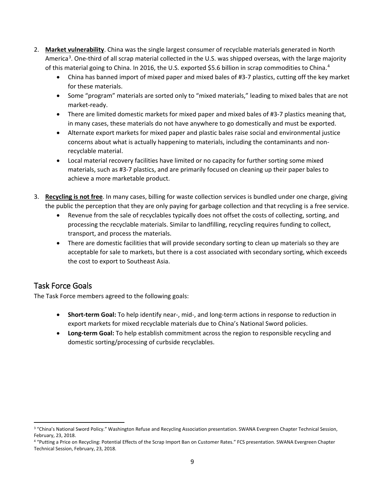- 2. **Market vulnerability**. China was the single largest consumer of recyclable materials generated in North America<sup>[3](#page-8-1)</sup>. One-third of all scrap material collected in the U.S. was shipped overseas, with the large majority of this material going to China. In 2016, the U.S. exported \$5.6 billion in scrap commodities to China.<sup>[4](#page-8-2)</sup>
	- China has banned import of mixed paper and mixed bales of #3-7 plastics, cutting off the key market for these materials.
	- Some "program" materials are sorted only to "mixed materials," leading to mixed bales that are not market-ready.
	- There are limited domestic markets for mixed paper and mixed bales of #3-7 plastics meaning that, in many cases, these materials do not have anywhere to go domestically and must be exported.
	- Alternate export markets for mixed paper and plastic bales raise social and environmental justice concerns about what is actually happening to materials, including the contaminants and nonrecyclable material.
	- Local material recovery facilities have limited or no capacity for further sorting some mixed materials, such as #3-7 plastics, and are primarily focused on cleaning up their paper bales to achieve a more marketable product.
- 3. **Recycling is not free**. In many cases, billing for waste collection services is bundled under one charge, giving the public the perception that they are only paying for garbage collection and that recycling is a free service.
	- Revenue from the sale of recyclables typically does not offset the costs of collecting, sorting, and processing the recyclable materials. Similar to landfilling, recycling requires funding to collect, transport, and process the materials.
	- There are domestic facilities that will provide secondary sorting to clean up materials so they are acceptable for sale to markets, but there is a cost associated with secondary sorting, which exceeds the cost to export to Southeast Asia.

## <span id="page-8-0"></span>Task Force Goals

The Task Force members agreed to the following goals:

- **Short-term Goal:** To help identify near-, mid-, and long-term actions in response to reduction in export markets for mixed recyclable materials due to China's National Sword policies.
- **Long-term Goal:** To help establish commitment across the region to responsible recycling and domestic sorting/processing of curbside recyclables.

<span id="page-8-1"></span>l <sup>3</sup> "China's National Sword Policy." Washington Refuse and Recycling Association presentation. SWANA Evergreen Chapter Technical Session, February, 23, 2018.

<span id="page-8-2"></span><sup>4 &</sup>quot;Putting a Price on Recycling: Potential Effects of the Scrap Import Ban on Customer Rates." FCS presentation. SWANA Evergreen Chapter Technical Session, February, 23, 2018.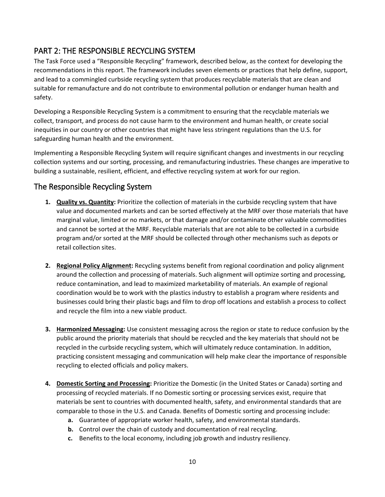## <span id="page-9-0"></span>PART 2: THE RESPONSIBLE RECYCLING SYSTEM

The Task Force used a "Responsible Recycling" framework, described below, as the context for developing the recommendations in this report. The framework includes seven elements or practices that help define, support, and lead to a commingled curbside recycling system that produces recyclable materials that are clean and suitable for remanufacture and do not contribute to environmental pollution or endanger human health and safety.

Developing a Responsible Recycling System is a commitment to ensuring that the recyclable materials we collect, transport, and process do not cause harm to the environment and human health, or create social inequities in our country or other countries that might have less stringent regulations than the U.S. for safeguarding human health and the environment.

Implementing a Responsible Recycling System will require significant changes and investments in our recycling collection systems and our sorting, processing, and remanufacturing industries. These changes are imperative to building a sustainable, resilient, efficient, and effective recycling system at work for our region.

## The Responsible Recycling System

- **1. Quality vs. Quantity:** Prioritize the collection of materials in the curbside recycling system that have value and documented markets and can be sorted effectively at the MRF over those materials that have marginal value, limited or no markets, or that damage and/or contaminate other valuable commodities and cannot be sorted at the MRF. Recyclable materials that are not able to be collected in a curbside program and/or sorted at the MRF should be collected through other mechanisms such as depots or retail collection sites.
- **2. Regional Policy Alignment:** Recycling systems benefit from regional coordination and policy alignment around the collection and processing of materials. Such alignment will optimize sorting and processing, reduce contamination, and lead to maximized marketability of materials. An example of regional coordination would be to work with the plastics industry to establish a program where residents and businesses could bring their plastic bags and film to drop off locations and establish a process to collect and recycle the film into a new viable product.
- **3. Harmonized Messaging:** Use consistent messaging across the region or state to reduce confusion by the public around the priority materials that should be recycled and the key materials that should not be recycled in the curbside recycling system, which will ultimately reduce contamination. In addition, practicing consistent messaging and communication will help make clear the importance of responsible recycling to elected officials and policy makers.
- **4. Domestic Sorting and Processing:** Prioritize the Domestic (in the United States or Canada) sorting and processing of recycled materials. If no Domestic sorting or processing services exist, require that materials be sent to countries with documented health, safety, and environmental standards that are comparable to those in the U.S. and Canada. Benefits of Domestic sorting and processing include:
	- **a.** Guarantee of appropriate worker health, safety, and environmental standards.
	- **b.** Control over the chain of custody and documentation of real recycling.
	- **c.** Benefits to the local economy, including job growth and industry resiliency.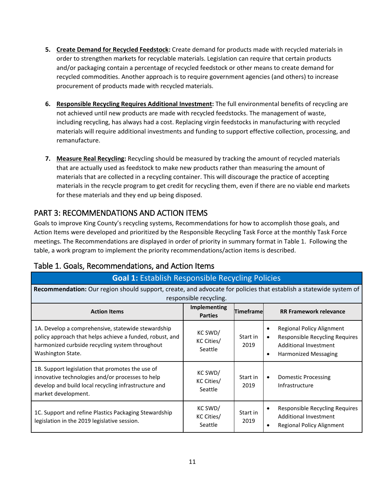- **5. Create Demand for Recycled Feedstock:** Create demand for products made with recycled materials in order to strengthen markets for recyclable materials. Legislation can require that certain products and/or packaging contain a percentage of recycled feedstock or other means to create demand for recycled commodities. Another approach is to require government agencies (and others) to increase procurement of products made with recycled materials.
- **6. Responsible Recycling Requires Additional Investment:** The full environmental benefits of recycling are not achieved until new products are made with recycled feedstocks. The management of waste, including recycling, has always had a cost. Replacing virgin feedstocks in manufacturing with recycled materials will require additional investments and funding to support effective collection, processing, and remanufacture.
- **7. Measure Real Recycling:** Recycling should be measured by tracking the amount of recycled materials that are actually used as feedstock to make new products rather than measuring the amount of materials that are collected in a recycling container. This will discourage the practice of accepting materials in the recycle program to get credit for recycling them, even if there are no viable end markets for these materials and they end up being disposed.

## <span id="page-10-0"></span>PART 3: RECOMMENDATIONS AND ACTION ITEMS

Goals to improve King County's recycling systems, Recommendations for how to accomplish those goals, and Action Items were developed and prioritized by the Responsible Recycling Task Force at the monthly Task Force meetings. The Recommendations are displayed in order of priority in summary format in Table 1. Following the table, a work program to implement the priority recommendations/action items is described.

| <b>Goal 1: Establish Responsible Recycling Policies</b>                                                                                                                                |                                       |                   |                                                                                                                                                            |
|----------------------------------------------------------------------------------------------------------------------------------------------------------------------------------------|---------------------------------------|-------------------|------------------------------------------------------------------------------------------------------------------------------------------------------------|
| Recommendation: Our region should support, create, and advocate for policies that establish a statewide system of<br>responsible recycling.                                            |                                       |                   |                                                                                                                                                            |
| <b>Action Items</b>                                                                                                                                                                    | <b>Implementing</b><br><b>Parties</b> | <b>Timeframel</b> | <b>RR Framework relevance</b>                                                                                                                              |
| 1A. Develop a comprehensive, statewide stewardship<br>policy approach that helps achieve a funded, robust, and<br>harmonized curbside recycling system throughout<br>Washington State. | KC SWD/<br>KC Cities/<br>Seattle      | Start in<br>2019  | Regional Policy Alignment<br>$\bullet$<br>Responsible Recycling Requires<br>$\bullet$<br>Additional Investment<br><b>Harmonized Messaging</b><br>$\bullet$ |
| 1B. Support legislation that promotes the use of<br>innovative technologies and/or processes to help<br>develop and build local recycling infrastructure and<br>market development.    | KC SWD/<br>KC Cities/<br>Seattle      | Start in<br>2019  | Domestic Processing<br>$\bullet$<br>Infrastructure                                                                                                         |
| 1C. Support and refine Plastics Packaging Stewardship<br>legislation in the 2019 legislative session.                                                                                  | KC SWD/<br>KC Cities/<br>Seattle      | Start in<br>2019  | Responsible Recycling Requires<br>$\bullet$<br>Additional Investment<br><b>Regional Policy Alignment</b><br>$\bullet$                                      |

## Table 1. Goals, Recommendations, and Action Items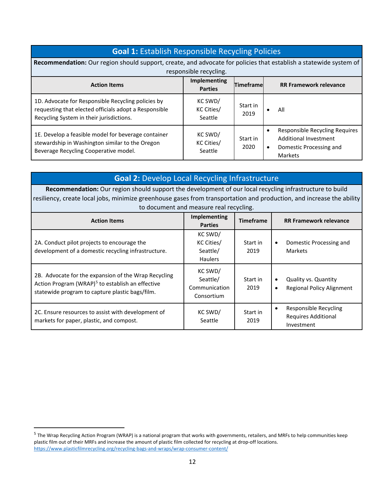| <b>Goal 1: Establish Responsible Recycling Policies</b>                                                                                                 |                                  |                   |                                                                                                                         |
|---------------------------------------------------------------------------------------------------------------------------------------------------------|----------------------------------|-------------------|-------------------------------------------------------------------------------------------------------------------------|
| Recommendation: Our region should support, create, and advocate for policies that establish a statewide system of<br>responsible recycling.             |                                  |                   |                                                                                                                         |
| <b>Action Items</b>                                                                                                                                     | Implementing<br><b>Parties</b>   | <b>Timeframel</b> | <b>RR Framework relevance</b>                                                                                           |
| 1D. Advocate for Responsible Recycling policies by<br>requesting that elected officials adopt a Responsible<br>Recycling System in their jurisdictions. | KC SWD/<br>KC Cities/<br>Seattle | Start in<br>2019  | All<br>$\bullet$                                                                                                        |
| 1E. Develop a feasible model for beverage container<br>stewardship in Washington similar to the Oregon<br>Beverage Recycling Cooperative model.         | KC SWD/<br>KC Cities/<br>Seattle | Start in<br>2020  | Responsible Recycling Requires<br>$\bullet$<br>Additional Investment<br>Domestic Processing and<br>$\bullet$<br>Markets |

| <b>Goal 2: Develop Local Recycling Infrastructure</b>                                                                                                                   |                                                     |                               |                                                                                    |  |
|-------------------------------------------------------------------------------------------------------------------------------------------------------------------------|-----------------------------------------------------|-------------------------------|------------------------------------------------------------------------------------|--|
| Recommendation: Our region should support the development of our local recycling infrastructure to build                                                                |                                                     |                               |                                                                                    |  |
| resiliency, create local jobs, minimize greenhouse gases from transportation and production, and increase the ability                                                   |                                                     |                               |                                                                                    |  |
|                                                                                                                                                                         | to document and measure real recycling.             |                               |                                                                                    |  |
| <b>Implementing</b><br><b>Timeframe</b><br><b>Action Items</b><br><b>Parties</b>                                                                                        |                                                     | <b>RR Framework relevance</b> |                                                                                    |  |
| 2A. Conduct pilot projects to encourage the<br>development of a domestic recycling infrastructure.                                                                      | KC SWD/<br>KC Cities/<br>Seattle/<br><b>Haulers</b> | Start in<br>2019              | Domestic Processing and<br>$\bullet$<br><b>Markets</b>                             |  |
| 2B. Advocate for the expansion of the Wrap Recycling<br>Action Program (WRAP) <sup>5</sup> to establish an effective<br>statewide program to capture plastic bags/film. | KC SWD/<br>Seattle/<br>Communication<br>Consortium  | Start in<br>2019              | <b>Quality vs. Quantity</b><br>$\bullet$<br>Regional Policy Alignment<br>$\bullet$ |  |
| 2C. Ensure resources to assist with development of<br>markets for paper, plastic, and compost.                                                                          | KC SWD/<br>Seattle                                  | Start in<br>2019              | Responsible Recycling<br>$\bullet$<br><b>Requires Additional</b><br>Investment     |  |

l

<span id="page-11-0"></span><sup>&</sup>lt;sup>5</sup> The Wrap Recycling Action Program (WRAP) is a national program that works with governments, retailers, and MRFs to help communities keep plastic film out of their MRFs and increase the amount of plastic film collected for recycling at drop-off locations. <https://www.plasticfilmrecycling.org/recycling-bags-and-wraps/wrap-consumer-content/>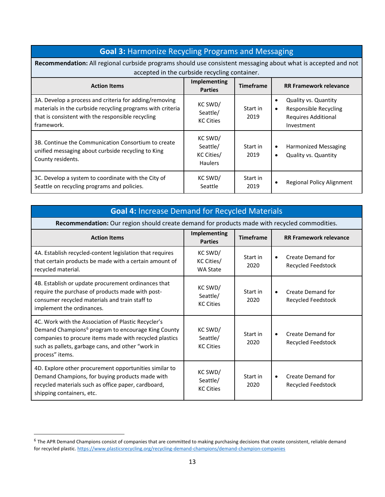| <b>Goal 3: Harmonize Recycling Programs and Messaging</b>                                                                                                                               |                                                     |                  |                                                                                                                     |
|-----------------------------------------------------------------------------------------------------------------------------------------------------------------------------------------|-----------------------------------------------------|------------------|---------------------------------------------------------------------------------------------------------------------|
| Recommendation: All regional curbside programs should use consistent messaging about what is accepted and not<br>accepted in the curbside recycling container.                          |                                                     |                  |                                                                                                                     |
| <b>Action Items</b>                                                                                                                                                                     | Implementing<br><b>Parties</b>                      | <b>Timeframe</b> | <b>RR Framework relevance</b>                                                                                       |
| 3A. Develop a process and criteria for adding/removing<br>materials in the curbside recycling programs with criteria<br>that is consistent with the responsible recycling<br>framework. | KC SWD/<br>Seattle/<br><b>KC Cities</b>             | Start in<br>2019 | Quality vs. Quantity<br>$\bullet$<br>Responsible Recycling<br>$\bullet$<br><b>Requires Additional</b><br>Investment |
| 3B. Continue the Communication Consortium to create<br>unified messaging about curbside recycling to King<br>County residents.                                                          | KC SWD/<br>Seattle/<br>KC Cities/<br><b>Haulers</b> | Start in<br>2019 | Harmonized Messaging<br>$\bullet$<br><b>Quality vs. Quantity</b><br>$\bullet$                                       |
| 3C. Develop a system to coordinate with the City of<br>Seattle on recycling programs and policies.                                                                                      | KC SWD/<br>Seattle                                  | Start in<br>2019 | Regional Policy Alignment                                                                                           |

## **Goal 4:** Increase Demand for Recycled Materials

**Recommendation:** Our region should create demand for products made with recycled commodities.

| <b>Action Items</b>                                                                                                                                                                                                                                     | <b>Implementing</b><br><b>Parties</b>    | <b>Timeframe</b> | <b>RR Framework relevance</b>                               |
|---------------------------------------------------------------------------------------------------------------------------------------------------------------------------------------------------------------------------------------------------------|------------------------------------------|------------------|-------------------------------------------------------------|
| 4A. Establish recycled-content legislation that requires<br>that certain products be made with a certain amount of<br>recycled material.                                                                                                                | KC SWD/<br>KC Cities/<br><b>WA State</b> | Start in<br>2020 | <b>Create Demand for</b><br>$\bullet$<br>Recycled Feedstock |
| 4B. Establish or update procurement ordinances that<br>require the purchase of products made with post-<br>consumer recycled materials and train staff to<br>implement the ordinances.                                                                  | KC SWD/<br>Seattle/<br><b>KC Cities</b>  | Start in<br>2020 | Create Demand for<br>$\bullet$<br>Recycled Feedstock        |
| 4C. Work with the Association of Plastic Recycler's<br>Demand Champions <sup>6</sup> program to encourage King County<br>companies to procure items made with recycled plastics<br>such as pallets, garbage cans, and other "work in<br>process" items. | KC SWD/<br>Seattle/<br><b>KC Cities</b>  | Start in<br>2020 | <b>Create Demand for</b><br>$\bullet$<br>Recycled Feedstock |
| 4D. Explore other procurement opportunities similar to<br>Demand Champions, for buying products made with<br>recycled materials such as office paper, cardboard,<br>shipping containers, etc.                                                           | KC SWD/<br>Seattle/<br><b>KC Cities</b>  | Start in<br>2020 | Create Demand for<br>$\bullet$<br>Recycled Feedstock        |

 $\overline{a}$ 

<span id="page-12-0"></span> $6$  The APR Demand Champions consist of companies that are committed to making purchasing decisions that create consistent, reliable demand for recycled plastic[. https://www.plasticsrecycling.org/recycling-demand-champions/demand-champion-companies](https://www.plasticsrecycling.org/recycling-demand-champions/demand-champion-companies)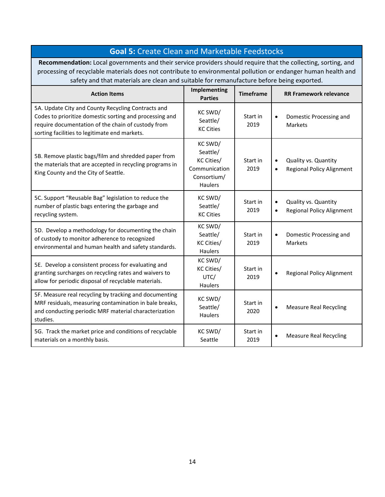| <b>Goal 5: Create Clean and Marketable Feedstocks</b>                                                                                                                                                                                                                                                                         |                                                                              |                  |                                                                       |
|-------------------------------------------------------------------------------------------------------------------------------------------------------------------------------------------------------------------------------------------------------------------------------------------------------------------------------|------------------------------------------------------------------------------|------------------|-----------------------------------------------------------------------|
| Recommendation: Local governments and their service providers should require that the collecting, sorting, and<br>processing of recyclable materials does not contribute to environmental pollution or endanger human health and<br>safety and that materials are clean and suitable for remanufacture before being exported. |                                                                              |                  |                                                                       |
| <b>Action Items</b>                                                                                                                                                                                                                                                                                                           | Implementing<br><b>Parties</b>                                               | <b>Timeframe</b> | <b>RR Framework relevance</b>                                         |
| 5A. Update City and County Recycling Contracts and<br>Codes to prioritize domestic sorting and processing and<br>require documentation of the chain of custody from<br>sorting facilities to legitimate end markets.                                                                                                          | KC SWD/<br>Seattle/<br><b>KC Cities</b>                                      | Start in<br>2019 | Domestic Processing and<br>Markets                                    |
| 5B. Remove plastic bags/film and shredded paper from<br>the materials that are accepted in recycling programs in<br>King County and the City of Seattle.                                                                                                                                                                      | KC SWD/<br>Seattle/<br>KC Cities/<br>Communication<br>Consortium/<br>Haulers | Start in<br>2019 | Quality vs. Quantity<br>$\bullet$<br><b>Regional Policy Alignment</b> |
| 5C. Support "Reusable Bag" legislation to reduce the<br>number of plastic bags entering the garbage and<br>recycling system.                                                                                                                                                                                                  | KC SWD/<br>Seattle/<br><b>KC Cities</b>                                      | Start in<br>2019 | Quality vs. Quantity<br><b>Regional Policy Alignment</b>              |
| 5D. Develop a methodology for documenting the chain<br>of custody to monitor adherence to recognized<br>environmental and human health and safety standards.                                                                                                                                                                  | KC SWD/<br>Seattle/<br>KC Cities/<br><b>Haulers</b>                          | Start in<br>2019 | Domestic Processing and<br>$\bullet$<br><b>Markets</b>                |
| 5E. Develop a consistent process for evaluating and<br>granting surcharges on recycling rates and waivers to<br>allow for periodic disposal of recyclable materials.                                                                                                                                                          | KC SWD/<br>KC Cities/<br>UTC/<br><b>Haulers</b>                              | Start in<br>2019 | <b>Regional Policy Alignment</b>                                      |
| 5F. Measure real recycling by tracking and documenting<br>MRF residuals, measuring contamination in bale breaks,<br>and conducting periodic MRF material characterization<br>studies.                                                                                                                                         | KC SWD/<br>Seattle/<br><b>Haulers</b>                                        | Start in<br>2020 | <b>Measure Real Recycling</b>                                         |
| 5G. Track the market price and conditions of recyclable<br>materials on a monthly basis.                                                                                                                                                                                                                                      | KC SWD/<br>Seattle                                                           | Start in<br>2019 | <b>Measure Real Recycling</b>                                         |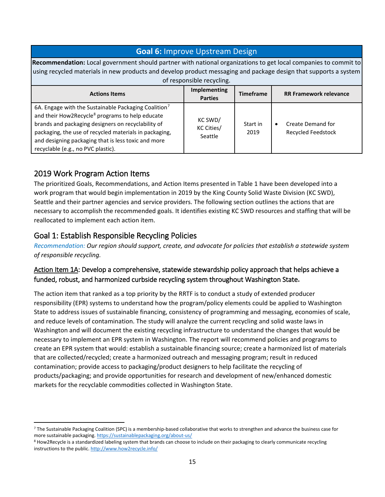## **Goal 6:** Improve Upstream Design

**Recommendation:** Local government should partner with national organizations to get local companies to commit to using recycled materials in new products and develop product messaging and package design that supports a system of responsible recycling.

| <b>UT TUS DUTSTORE TUDIVERS.</b>                                                                                                                                                                                                                                                                                                             |                                       |                  |                                                |
|----------------------------------------------------------------------------------------------------------------------------------------------------------------------------------------------------------------------------------------------------------------------------------------------------------------------------------------------|---------------------------------------|------------------|------------------------------------------------|
| <b>Actions Items</b>                                                                                                                                                                                                                                                                                                                         | <b>Implementing</b><br><b>Parties</b> | <b>Timeframe</b> | <b>RR Framework relevance</b>                  |
| 6A. Engage with the Sustainable Packaging Coalition <sup>7</sup><br>and their How2Recycle <sup>8</sup> programs to help educate<br>brands and packaging designers on recyclability of<br>packaging, the use of recycled materials in packaging,<br>and designing packaging that is less toxic and more<br>recyclable (e.g., no PVC plastic). | KC SWD/<br>KC Cities/<br>Seattle      | Start in<br>2019 | Create Demand for<br><b>Recycled Feedstock</b> |

## <span id="page-14-0"></span>2019 Work Program Action Items

l

The prioritized Goals, Recommendations, and Action Items presented in Table 1 have been developed into a work program that would begin implementation in 2019 by the King County Solid Waste Division (KC SWD), Seattle and their partner agencies and service providers. The following section outlines the actions that are necessary to accomplish the recommended goals. It identifies existing KC SWD resources and staffing that will be reallocated to implement each action item.

## <span id="page-14-1"></span>Goal 1: Establish Responsible Recycling Policies

*Recommendation: Our region should support, create, and advocate for policies that establish a statewide system of responsible recycling.* 

## Action Item 1A: Develop a comprehensive, statewide stewardship policy approach that helps achieve a funded, robust, and harmonized curbside recycling system throughout Washington State**.**

The action item that ranked as a top priority by the RRTF is to conduct a study of extended producer responsibility (EPR) systems to understand how the program/policy elements could be applied to Washington State to address issues of sustainable financing, consistency of programming and messaging, economies of scale, and reduce levels of contamination. The study will analyze the current recycling and solid waste laws in Washington and will document the existing recycling infrastructure to understand the changes that would be necessary to implement an EPR system in Washington. The report will recommend policies and programs to create an EPR system that would: establish a sustainable financing source; create a harmonized list of materials that are collected/recycled; create a harmonized outreach and messaging program; result in reduced contamination; provide access to packaging/product designers to help facilitate the recycling of products/packaging; and provide opportunities for research and development of new/enhanced domestic markets for the recyclable commodities collected in Washington State.

<span id="page-14-2"></span> $7$  The Sustainable Packaging Coalition (SPC) is a membership-based collaborative that works to strengthen and advance the business case for more sustainable packaging. https://sustainablepackaging.org/about-us/<br><sup>8</sup> How2Recycle is a standardized labeling system that brands can choose to include on their packaging to clearly communicate recycling

<span id="page-14-3"></span>instructions to the public[. http://www.how2recycle.info/](http://www.how2recycle.info/)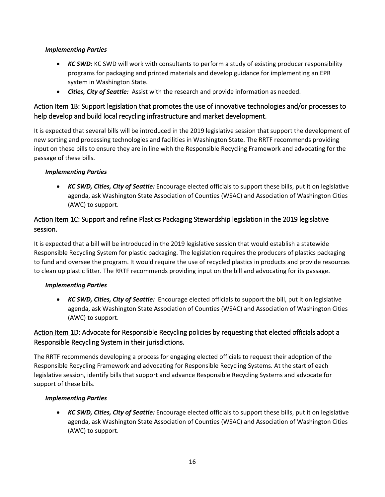#### *Implementing Parties*

- *KC SWD:* KC SWD will work with consultants to perform a study of existing producer responsibility programs for packaging and printed materials and develop guidance for implementing an EPR system in Washington State.
- *Cities, City of Seattle:* Assist with the research and provide information as needed.

## Action Item 1B: Support legislation that promotes the use of innovative technologies and/or processes to help develop and build local recycling infrastructure and market development.

It is expected that several bills will be introduced in the 2019 legislative session that support the development of new sorting and processing technologies and facilities in Washington State. The RRTF recommends providing input on these bills to ensure they are in line with the Responsible Recycling Framework and advocating for the passage of these bills.

#### *Implementing Parties*

• *KC SWD, Cities, City of Seattle:* Encourage elected officials to support these bills, put it on legislative agenda, ask Washington State Association of Counties (WSAC) and Association of Washington Cities (AWC) to support.

## Action Item 1C: Support and refine Plastics Packaging Stewardship legislation in the 2019 legislative session.

It is expected that a bill will be introduced in the 2019 legislative session that would establish a statewide Responsible Recycling System for plastic packaging. The legislation requires the producers of plastics packaging to fund and oversee the program. It would require the use of recycled plastics in products and provide resources to clean up plastic litter. The RRTF recommends providing input on the bill and advocating for its passage.

#### *Implementing Parties*

• *KC SWD, Cities, City of Seattle:* Encourage elected officials to support the bill, put it on legislative agenda, ask Washington State Association of Counties (WSAC) and Association of Washington Cities (AWC) to support.

## Action Item 1D: Advocate for Responsible Recycling policies by requesting that elected officials adopt a Responsible Recycling System in their jurisdictions.

The RRTF recommends developing a process for engaging elected officials to request their adoption of the Responsible Recycling Framework and advocating for Responsible Recycling Systems. At the start of each legislative session, identify bills that support and advance Responsible Recycling Systems and advocate for support of these bills.

#### *Implementing Parties*

• *KC SWD, Cities, City of Seattle:* Encourage elected officials to support these bills, put it on legislative agenda, ask Washington State Association of Counties (WSAC) and Association of Washington Cities (AWC) to support.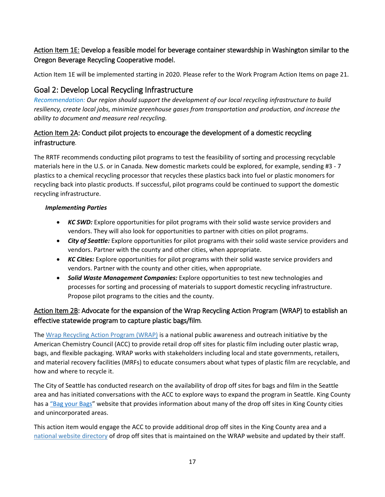## Action Item 1E: Develop a feasible model for beverage container stewardship in Washington similar to the Oregon Beverage Recycling Cooperative model.

Action Item 1E will be implemented starting in 2020. Please refer to the Work Program Action Items on page 21.

## <span id="page-16-0"></span>Goal 2: Develop Local Recycling Infrastructure

*Recommendation: Our region should support the development of our local recycling infrastructure to build resiliency, create local jobs, minimize greenhouse gases from transportation and production, and increase the ability to document and measure real recycling.*

## Action Item 2A: Conduct pilot projects to encourage the development of a domestic recycling infrastructure*.*

The RRTF recommends conducting pilot programs to test the feasibility of sorting and processing recyclable materials here in the U.S. or in Canada. New domestic markets could be explored, for example, sending #3 - 7 plastics to a chemical recycling processor that recycles these plastics back into fuel or plastic monomers for recycling back into plastic products. If successful, pilot programs could be continued to support the domestic recycling infrastructure.

#### *Implementing Parties*

- *KC SWD:* Explore opportunities for pilot programs with their solid waste service providers and vendors. They will also look for opportunities to partner with cities on pilot programs.
- *City of Seattle:* Explore opportunities for pilot programs with their solid waste service providers and vendors. Partner with the county and other cities, when appropriate.
- *KC Cities:* Explore opportunities for pilot programs with their solid waste service providers and vendors. Partner with the county and other cities, when appropriate.
- *Solid Waste Management Companies:* Explore opportunities to test new technologies and processes for sorting and processing of materials to support domestic recycling infrastructure. Propose pilot programs to the cities and the county.

## Action Item 2B: Advocate for the expansion of the Wrap Recycling Action Program (WRAP) to establish an effective statewide program to capture plastic bags/film*.*

The Wrap [Recycling Action Program \(WRAP\)](https://www.plasticfilmrecycling.org/recycling-bags-and-wraps/wrap-consumer-content/) is a national public awareness and outreach initiative by the American Chemistry Council (ACC) to provide retail drop off sites for plastic film including outer plastic wrap, bags, and flexible packaging. WRAP works with stakeholders including local and state governments, retailers, and material recovery facilities (MRFs) to educate consumers about what types of plastic film are recyclable, and how and where to recycle it.

The City of Seattle has conducted research on the availability of drop off sites for bags and film in the Seattle area and has initiated conversations with the ACC to explore ways to expand the program in Seattle. King County has [a "Bag your](https://kingcounty.gov/depts/dnrp/solid-waste/garbage-recycling/recycle-more/bag-your-bags.aspx) Bags" website that provides information about many of the drop off sites in King County cities and unincorporated areas.

This action item would engage the ACC to provide additional drop off sites in the King County area and a [national website directory](https://www.plasticfilmrecycling.org/recycling-bags-and-wraps/find-drop-off-location/) of drop off sites that is maintained on the WRAP website and updated by their staff.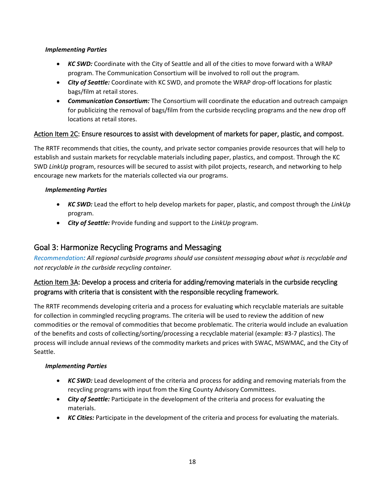#### *Implementing Parties*

- *KC SWD:* Coordinate with the City of Seattle and all of the cities to move forward with a WRAP program. The Communication Consortium will be involved to roll out the program.
- *City of Seattle:* Coordinate with KC SWD, and promote the WRAP drop-off locations for plastic bags/film at retail stores.
- *Communication Consortium:* The Consortium will coordinate the education and outreach campaign for publicizing the removal of bags/film from the curbside recycling programs and the new drop off locations at retail stores.

#### Action Item 2C: Ensure resources to assist with development of markets for paper, plastic, and compost.

The RRTF recommends that cities, the county, and private sector companies provide resources that will help to establish and sustain markets for recyclable materials including paper, plastics, and compost. Through the KC SWD *LinkUp* program, resources will be secured to assist with pilot projects, research, and networking to help encourage new markets for the materials collected via our programs.

#### *Implementing Parties*

- *KC SWD:* Lead the effort to help develop markets for paper, plastic, and compost through the *LinkUp* program.
- *City of Seattle:* Provide funding and support to the *LinkUp* program.

## <span id="page-17-0"></span>Goal 3: Harmonize Recycling Programs and Messaging

*Recommendation: All regional curbside programs should use consistent messaging about what is recyclable and not recyclable in the curbside recycling container.*

## Action Item 3A: Develop a process and criteria for adding/removing materials in the curbside recycling programs with criteria that is consistent with the responsible recycling framework.

The RRTF recommends developing criteria and a process for evaluating which recyclable materials are suitable for collection in commingled recycling programs. The criteria will be used to review the addition of new commodities or the removal of commodities that become problematic. The criteria would include an evaluation of the benefits and costs of collecting/sorting/processing a recyclable material (example: #3-7 plastics). The process will include annual reviews of the commodity markets and prices with SWAC, MSWMAC, and the City of Seattle.

#### *Implementing Parties*

- *KC SWD:* Lead development of the criteria and process for adding and removing materials from the recycling programs with input from the King County Advisory Committees.
- *City of Seattle:* Participate in the development of the criteria and process for evaluating the materials.
- *KC Cities:* Participate in the development of the criteria and process for evaluating the materials.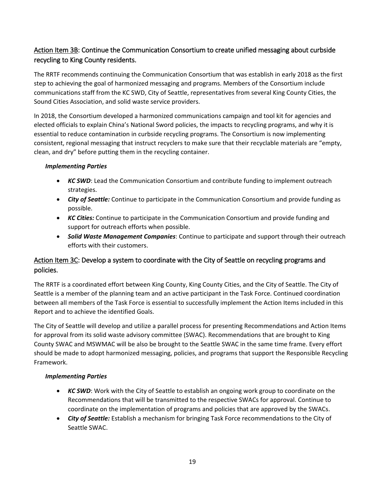## Action Item 3B: Continue the Communication Consortium to create unified messaging about curbside recycling to King County residents.

The RRTF recommends continuing the Communication Consortium that was establish in early 2018 as the first step to achieving the goal of harmonized messaging and programs. Members of the Consortium include communications staff from the KC SWD, City of Seattle, representatives from several King County Cities, the Sound Cities Association, and solid waste service providers.

In 2018, the Consortium developed a harmonized communications campaign and tool kit for agencies and elected officials to explain China's National Sword policies, the impacts to recycling programs, and why it is essential to reduce contamination in curbside recycling programs. The Consortium is now implementing consistent, regional messaging that instruct recyclers to make sure that their recyclable materials are "empty, clean, and dry" before putting them in the recycling container.

#### *Implementing Parties*

- *KC SWD*: Lead the Communication Consortium and contribute funding to implement outreach strategies.
- *City of Seattle:* Continue to participate in the Communication Consortium and provide funding as possible.
- *KC Cities:* Continue to participate in the Communication Consortium and provide funding and support for outreach efforts when possible.
- *Solid Waste Management Companies*: Continue to participate and support through their outreach efforts with their customers.

## Action Item 3C: Develop a system to coordinate with the City of Seattle on recycling programs and policies.

The RRTF is a coordinated effort between King County, King County Cities, and the City of Seattle. The City of Seattle is a member of the planning team and an active participant in the Task Force. Continued coordination between all members of the Task Force is essential to successfully implement the Action Items included in this Report and to achieve the identified Goals.

The City of Seattle will develop and utilize a parallel process for presenting Recommendations and Action Items for approval from its solid waste advisory committee (SWAC). Recommendations that are brought to King County SWAC and MSWMAC will be also be brought to the Seattle SWAC in the same time frame. Every effort should be made to adopt harmonized messaging, policies, and programs that support the Responsible Recycling Framework.

#### *Implementing Parties*

- *KC SWD*: Work with the City of Seattle to establish an ongoing work group to coordinate on the Recommendations that will be transmitted to the respective SWACs for approval. Continue to coordinate on the implementation of programs and policies that are approved by the SWACs.
- *City of Seattle:* Establish a mechanism for bringing Task Force recommendations to the City of Seattle SWAC.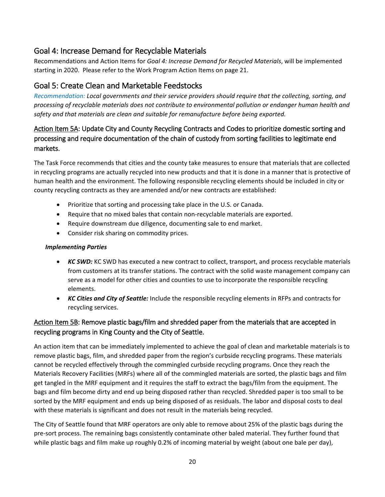## <span id="page-19-0"></span>Goal 4: Increase Demand for Recyclable Materials

Recommendations and Action Items for *Goal 4: Increase Demand for Recycled Materials*, will be implemented starting in 2020. Please refer to the Work Program Action Items on page 21.

## <span id="page-19-1"></span>Goal 5: Create Clean and Marketable Feedstocks

*Recommendation: Local governments and their service providers should require that the collecting, sorting, and processing of recyclable materials does not contribute to environmental pollution or endanger human health and safety and that materials are clean and suitable for remanufacture before being exported.*

## Action Item 5A: Update City and County Recycling Contracts and Codes to prioritize domestic sorting and processing and require documentation of the chain of custody from sorting facilities to legitimate end markets.

The Task Force recommends that cities and the county take measures to ensure that materials that are collected in recycling programs are actually recycled into new products and that it is done in a manner that is protective of human health and the environment. The following responsible recycling elements should be included in city or county recycling contracts as they are amended and/or new contracts are established:

- Prioritize that sorting and processing take place in the U.S. or Canada.
- Require that no mixed bales that contain non-recyclable materials are exported.
- Require downstream due diligence, documenting sale to end market.
- Consider risk sharing on commodity prices.

#### *Implementing Parties*

- *KC SWD:* KC SWD has executed a new contract to collect, transport, and process recyclable materials from customers at its transfer stations. The contract with the solid waste management company can serve as a model for other cities and counties to use to incorporate the responsible recycling elements.
- *KC Cities and City of Seattle:* Include the responsible recycling elements in RFPs and contracts for recycling services.

## Action Item 5B: Remove plastic bags/film and shredded paper from the materials that are accepted in recycling programs in King County and the City of Seattle.

An action item that can be immediately implemented to achieve the goal of clean and marketable materials is to remove plastic bags, film, and shredded paper from the region's curbside recycling programs. These materials cannot be recycled effectively through the commingled curbside recycling programs. Once they reach the Materials Recovery Facilities (MRFs) where all of the commingled materials are sorted, the plastic bags and film get tangled in the MRF equipment and it requires the staff to extract the bags/film from the equipment. The bags and film become dirty and end up being disposed rather than recycled. Shredded paper is too small to be sorted by the MRF equipment and ends up being disposed of as residuals. The labor and disposal costs to deal with these materials is significant and does not result in the materials being recycled.

The City of Seattle found that MRF operators are only able to remove about 25% of the plastic bags during the pre-sort process. The remaining bags consistently contaminate other baled material. They further found that while plastic bags and film make up roughly 0.2% of incoming material by weight (about one bale per day),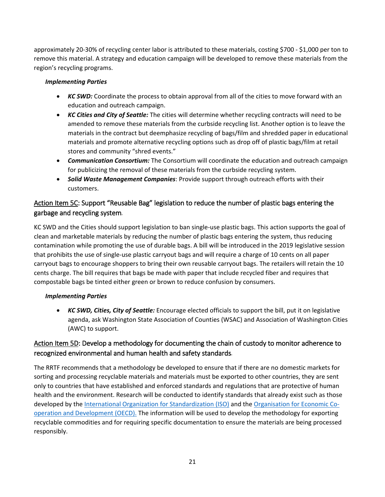approximately 20-30% of recycling center labor is attributed to these materials, costing \$700 - \$1,000 per ton to remove this material. A strategy and education campaign will be developed to remove these materials from the region's recycling programs.

#### *Implementing Parties*

- *KC SWD:* Coordinate the process to obtain approval from all of the cities to move forward with an education and outreach campaign.
- *KC Cities and City of Seattle:* The cities will determine whether recycling contracts will need to be amended to remove these materials from the curbside recycling list. Another option is to leave the materials in the contract but deemphasize recycling of bags/film and shredded paper in educational materials and promote alternative recycling options such as drop off of plastic bags/film at retail stores and community "shred events."
- *Communication Consortium:* The Consortium will coordinate the education and outreach campaign for publicizing the removal of these materials from the curbside recycling system.
- *Solid Waste Management Companies*: Provide support through outreach efforts with their customers.

## Action Item 5C: Support "Reusable Bag" legislation to reduce the number of plastic bags entering the garbage and recycling system*.*

KC SWD and the Cities should support legislation to ban single-use plastic bags. This action supports the goal of clean and marketable materials by reducing the number of plastic bags entering the system, thus reducing contamination while promoting the use of durable bags. A bill will be introduced in the 2019 legislative session that prohibits the use of single-use plastic carryout bags and will require a charge of 10 cents on all paper carryout bags to encourage shoppers to bring their own reusable carryout bags. The retailers will retain the 10 cents charge. The bill requires that bags be made with paper that include recycled fiber and requires that compostable bags be tinted either green or brown to reduce confusion by consumers.

#### *Implementing Parties*

• *KC SWD, Cities, City of Seattle:* Encourage elected officials to support the bill, put it on legislative agenda, ask Washington State Association of Counties (WSAC) and Association of Washington Cities (AWC) to support.

## Action Item 5D: Develop a methodology for documenting the chain of custody to monitor adherence to recognized environmental and human health and safety standards*.*

The RRTF recommends that a methodology be developed to ensure that if there are no domestic markets for sorting and processing recyclable materials and materials must be exported to other countries, they are sent only to countries that have established and enforced standards and regulations that are protective of human health and the environment. Research will be conducted to identify standards that already exist such as those developed by the [International Organization for Standardization \(ISO\)](https://www.iso.org/home.html) and the [Organisation for Economic Co](http://www.oecd.org/unitedstates/)[operation and Development \(OECD\).](http://www.oecd.org/unitedstates/) The information will be used to develop the methodology for exporting recyclable commodities and for requiring specific documentation to ensure the materials are being processed responsibly.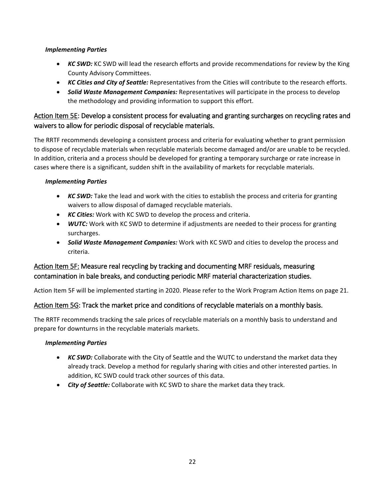#### *Implementing Parties*

- *KC SWD:* KC SWD will lead the research efforts and provide recommendations for review by the King County Advisory Committees.
- *KC Cities and City of Seattle:* Representatives from the Cities will contribute to the research efforts.
- *Solid Waste Management Companies:* Representatives will participate in the process to develop the methodology and providing information to support this effort.

## Action Item 5E: Develop a consistent process for evaluating and granting surcharges on recycling rates and waivers to allow for periodic disposal of recyclable materials.

The RRTF recommends developing a consistent process and criteria for evaluating whether to grant permission to dispose of recyclable materials when recyclable materials become damaged and/or are unable to be recycled. In addition, criteria and a process should be developed for granting a temporary surcharge or rate increase in cases where there is a significant, sudden shift in the availability of markets for recyclable materials.

#### *Implementing Parties*

- *KC SWD:* Take the lead and work with the cities to establish the process and criteria for granting waivers to allow disposal of damaged recyclable materials.
- *KC Cities:* Work with KC SWD to develop the process and criteria.
- **WUTC:** Work with KC SWD to determine if adjustments are needed to their process for granting surcharges.
- *Solid Waste Management Companies:* Work with KC SWD and cities to develop the process and criteria.

## Action Item 5F: Measure real recycling by tracking and documenting MRF residuals, measuring contamination in bale breaks, and conducting periodic MRF material characterization studies.

Action Item 5F will be implemented starting in 2020. Please refer to the Work Program Action Items on page 21.

#### Action Item 5G: Track the market price and conditions of recyclable materials on a monthly basis.

The RRTF recommends tracking the sale prices of recyclable materials on a monthly basis to understand and prepare for downturns in the recyclable materials markets.

#### *Implementing Parties*

- *KC SWD:* Collaborate with the City of Seattle and the WUTC to understand the market data they already track. Develop a method for regularly sharing with cities and other interested parties. In addition, KC SWD could track other sources of this data.
- *City of Seattle:* Collaborate with KC SWD to share the market data they track.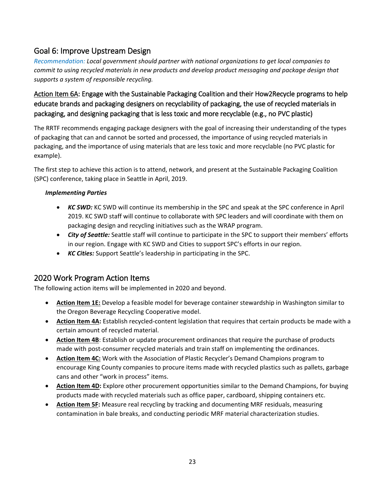## <span id="page-22-0"></span>Goal 6: Improve Upstream Design

*Recommendation: Local government should partner with national organizations to get local companies to commit to using recycled materials in new products and develop product messaging and package design that supports a system of responsible recycling.*

## Action Item 6A: Engage with the Sustainable Packaging Coalition and their How2Recycle programs to help educate brands and packaging designers on recyclability of packaging, the use of recycled materials in packaging, and designing packaging that is less toxic and more recyclable (e.g., no PVC plastic)

The RRTF recommends engaging package designers with the goal of increasing their understanding of the types of packaging that can and cannot be sorted and processed, the importance of using recycled materials in packaging, and the importance of using materials that are less toxic and more recyclable (no PVC plastic for example).

The first step to achieve this action is to attend, network, and present at the Sustainable Packaging Coalition (SPC) conference, taking place in Seattle in April, 2019.

#### *Implementing Parties*

- *KC SWD:* KC SWD will continue its membership in the SPC and speak at the SPC conference in April 2019. KC SWD staff will continue to collaborate with SPC leaders and will coordinate with them on packaging design and recycling initiatives such as the WRAP program.
- *City of Seattle:* Seattle staff will continue to participate in the SPC to support their members' efforts in our region. Engage with KC SWD and Cities to support SPC's efforts in our region.
- *KC Cities:* Support Seattle's leadership in participating in the SPC.

## <span id="page-22-1"></span>2020 Work Program Action Items

The following action items will be implemented in 2020 and beyond.

- **Action Item 1E:** Develop a feasible model for beverage container stewardship in Washington similar to the Oregon Beverage Recycling Cooperative model.
- **Action Item 4A:** Establish recycled-content legislation that requires that certain products be made with a certain amount of recycled material.
- **Action Item 4B**: Establish or update procurement ordinances that require the purchase of products made with post-consumer recycled materials and train staff on implementing the ordinances.
- **Action Item 4C:** Work with the Association of Plastic Recycler's Demand Champions program to encourage King County companies to procure items made with recycled plastics such as pallets, garbage cans and other "work in process" items.
- **Action Item 4D:** Explore other procurement opportunities similar to the Demand Champions, for buying products made with recycled materials such as office paper, cardboard, shipping containers etc.
- **Action Item 5F:** Measure real recycling by tracking and documenting MRF residuals, measuring contamination in bale breaks, and conducting periodic MRF material characterization studies.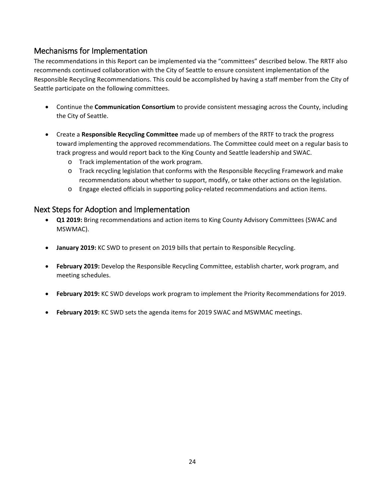## <span id="page-23-0"></span>Mechanisms for Implementation

The recommendations in this Report can be implemented via the "committees" described below. The RRTF also recommends continued collaboration with the City of Seattle to ensure consistent implementation of the Responsible Recycling Recommendations. This could be accomplished by having a staff member from the City of Seattle participate on the following committees.

- Continue the **Communication Consortium** to provide consistent messaging across the County, including the City of Seattle.
- Create a **Responsible Recycling Committee** made up of members of the RRTF to track the progress toward implementing the approved recommendations. The Committee could meet on a regular basis to track progress and would report back to the King County and Seattle leadership and SWAC.
	- o Track implementation of the work program.
	- o Track recycling legislation that conforms with the Responsible Recycling Framework and make recommendations about whether to support, modify, or take other actions on the legislation.
	- o Engage elected officials in supporting policy-related recommendations and action items.

## <span id="page-23-1"></span>Next Steps for Adoption and Implementation

- **Q1 2019:** Bring recommendations and action items to King County Advisory Committees (SWAC and MSWMAC).
- **January 2019:** KC SWD to present on 2019 bills that pertain to Responsible Recycling.
- **February 2019:** Develop the Responsible Recycling Committee, establish charter, work program, and meeting schedules.
- **February 2019:** KC SWD develops work program to implement the Priority Recommendations for 2019.
- **February 2019:** KC SWD sets the agenda items for 2019 SWAC and MSWMAC meetings.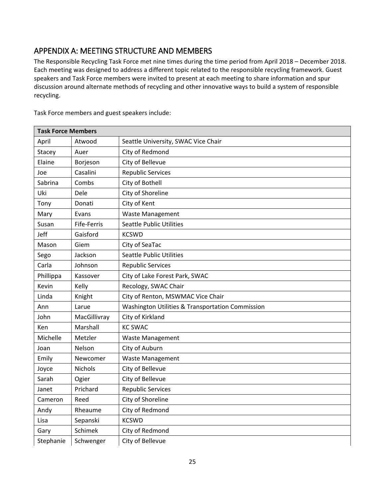## <span id="page-24-0"></span>APPENDIX A: MEETING STRUCTURE AND MEMBERS

The Responsible Recycling Task Force met nine times during the time period from April 2018 – December 2018. Each meeting was designed to address a different topic related to the responsible recycling framework. Guest speakers and Task Force members were invited to present at each meeting to share information and spur discussion around alternate methods of recycling and other innovative ways to build a system of responsible recycling.

Task Force members and guest speakers include:

| <b>Task Force Members</b> |                |                                                  |
|---------------------------|----------------|--------------------------------------------------|
| April                     | Atwood         | Seattle University, SWAC Vice Chair              |
| Stacey                    | Auer           | City of Redmond                                  |
| Elaine                    | Borjeson       | City of Bellevue                                 |
| Joe                       | Casalini       | <b>Republic Services</b>                         |
| Sabrina                   | Combs          | City of Bothell                                  |
| Uki                       | Dele           | City of Shoreline                                |
| Tony                      | Donati         | City of Kent                                     |
| Mary                      | Evans          | <b>Waste Management</b>                          |
| Susan                     | Fife-Ferris    | <b>Seattle Public Utilities</b>                  |
| Jeff                      | Gaisford       | <b>KCSWD</b>                                     |
| Mason                     | Giem           | City of SeaTac                                   |
| Sego                      | Jackson        | <b>Seattle Public Utilities</b>                  |
| Carla                     | Johnson        | <b>Republic Services</b>                         |
| Phillippa                 | Kassover       | City of Lake Forest Park, SWAC                   |
| Kevin                     | Kelly          | Recology, SWAC Chair                             |
| Linda                     | Knight         | City of Renton, MSWMAC Vice Chair                |
| Ann                       | Larue          | Washington Utilities & Transportation Commission |
| John                      | MacGillivray   | City of Kirkland                                 |
| Ken                       | Marshall       | <b>KC SWAC</b>                                   |
| Michelle                  | Metzler        | <b>Waste Management</b>                          |
| Joan                      | Nelson         | City of Auburn                                   |
| Emily                     | Newcomer       | <b>Waste Management</b>                          |
| Joyce                     | <b>Nichols</b> | City of Bellevue                                 |
| Sarah                     | Ogier          | City of Bellevue                                 |
| Janet                     | Prichard       | <b>Republic Services</b>                         |
| Cameron                   | Reed           | City of Shoreline                                |
| Andy                      | Rheaume        | City of Redmond                                  |
| Lisa                      | Sepanski       | <b>KCSWD</b>                                     |
| Gary                      | Schimek        | City of Redmond                                  |
| Stephanie                 | Schwenger      | City of Bellevue                                 |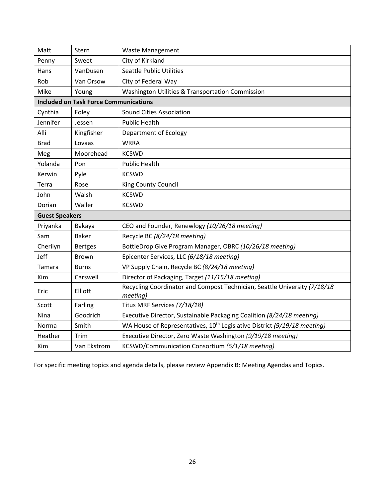| Matt                  | Stern                                        | <b>Waste Management</b>                                                               |
|-----------------------|----------------------------------------------|---------------------------------------------------------------------------------------|
| Penny                 | Sweet                                        | City of Kirkland                                                                      |
| Hans                  | VanDusen                                     | <b>Seattle Public Utilities</b>                                                       |
| Rob                   | Van Orsow                                    | City of Federal Way                                                                   |
| Mike                  | Young                                        | Washington Utilities & Transportation Commission                                      |
|                       | <b>Included on Task Force Communications</b> |                                                                                       |
| Cynthia               | Foley                                        | <b>Sound Cities Association</b>                                                       |
| Jennifer              | Jessen                                       | <b>Public Health</b>                                                                  |
| Alli                  | Kingfisher                                   | Department of Ecology                                                                 |
| <b>Brad</b>           | Lovaas                                       | <b>WRRA</b>                                                                           |
| Meg                   | Moorehead                                    | <b>KCSWD</b>                                                                          |
| Yolanda               | Pon                                          | <b>Public Health</b>                                                                  |
| Kerwin                | Pyle                                         | <b>KCSWD</b>                                                                          |
| Terra                 | Rose                                         | King County Council                                                                   |
| John                  | Walsh                                        | <b>KCSWD</b>                                                                          |
| Dorian                | Waller                                       | <b>KCSWD</b>                                                                          |
| <b>Guest Speakers</b> |                                              |                                                                                       |
| Priyanka              | Bakaya                                       | CEO and Founder, Renewlogy (10/26/18 meeting)                                         |
| Sam                   | <b>Baker</b>                                 | Recycle BC (8/24/18 meeting)                                                          |
| Cherilyn              | <b>Bertges</b>                               | BottleDrop Give Program Manager, OBRC (10/26/18 meeting)                              |
| Jeff                  | <b>Brown</b>                                 | Epicenter Services, LLC (6/18/18 meeting)                                             |
| Tamara                | <b>Burns</b>                                 | VP Supply Chain, Recycle BC (8/24/18 meeting)                                         |
| Kim                   | Carswell                                     | Director of Packaging, Target (11/15/18 meeting)                                      |
| Eric                  | Elliott                                      | Recycling Coordinator and Compost Technician, Seattle University (7/18/18<br>meeting) |
| Scott                 | Farling                                      | Titus MRF Services (7/18/18)                                                          |
| Nina                  | Goodrich                                     | Executive Director, Sustainable Packaging Coalition (8/24/18 meeting)                 |
| Norma                 | Smith                                        | WA House of Representatives, 10 <sup>th</sup> Legislative District (9/19/18 meeting)  |
| Heather               | Trim                                         | Executive Director, Zero Waste Washington (9/19/18 meeting)                           |
| Kim                   | Van Ekstrom                                  | KCSWD/Communication Consortium (6/1/18 meeting)                                       |

For specific meeting topics and agenda details, please review Appendix B: Meeting Agendas and Topics.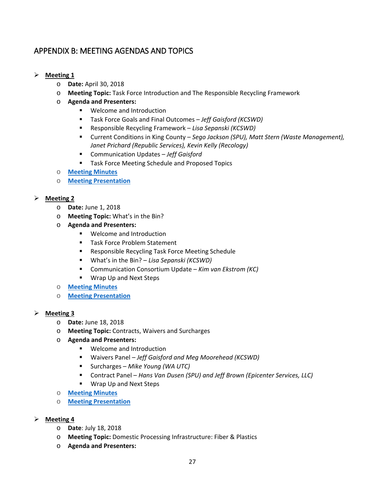## <span id="page-26-0"></span>APPENDIX B: MEETING AGENDAS AND TOPICS

#### **Meeting 1**

- o **Date:** April 30, 2018
- o **Meeting Topic:** Task Force Introduction and The Responsible Recycling Framework
- o **Agenda and Presenters:**
	- **Welcome and Introduction**
	- Task Force Goals and Final Outcomes  *Jeff Gaisford (KCSWD)*
	- Responsible Recycling Framework *Lisa Sepanski (KCSWD)*
	- Current Conditions in King County *Sego Jackson (SPU), Matt Stern (Waste Management), Janet Prichard (Republic Services), Kevin Kelly (Recology)*
	- Communication Updates *Jeff Gaisford*
	- **Task Force Meeting Schedule and Proposed Topics**
- o **[Meeting Minutes](https://kingcounty.gov/%7E/media/depts/dnrp/solid-waste/about/planning/documents/task-force-minutes-2018-04-30.ashx?la=en)**
- o **[Meeting Presentation](https://kingcounty.gov/%7E/media/depts/dnrp/solid-waste/about/planning/documents/task-force-presentation-2018-04-30.ashx?la=en)**

#### **Meeting 2**

- o **Date:** June 1, 2018
- o **Meeting Topic:** What's in the Bin?
- o **Agenda and Presenters:** 
	- Welcome and Introduction
	- **Task Force Problem Statement**
	- **Responsible Recycling Task Force Meeting Schedule**
	- What's in the Bin? *Lisa Sepanski (KCSWD)*
	- Communication Consortium Update *Kim van Ekstrom (KC)*
	- **Wrap Up and Next Steps**
- o **[Meeting Minutes](https://kingcounty.gov/%7E/media/depts/dnrp/solid-waste/about/planning/documents/task-force-minutes-2018-06-01.ashx?la=en)**
- o **[Meeting Presentation](https://kingcounty.gov/%7E/media/depts/dnrp/solid-waste/about/planning/documents/task-force-presentation-2018-06-01.ashx?la=en)**

#### **Meeting 3**

- o **Date:** June 18, 2018
- o **Meeting Topic:** Contracts, Waivers and Surcharges
- o **Agenda and Presenters:** 
	- **Welcome and Introduction**
	- Waivers Panel  *Jeff Gaisford and Meg Moorehead (KCSWD)*
	- Surcharges *Mike Young (WA UTC)*
	- Contract Panel *Hans Van Dusen (SPU) and Jeff Brown (Epicenter Services, LLC)*
	- **Wrap Up and Next Steps**
- o **[Meeting Minutes](https://kingcounty.gov/%7E/media/depts/dnrp/solid-waste/about/planning/documents/task-force-minutes-2018-06-18.ashx?la=en)**
- o **[Meeting Presentation](https://kingcounty.gov/%7E/media/depts/dnrp/solid-waste/about/planning/documents/task-force-presentation-2018-06-18.ashx?la=en)**
- **Meeting 4**
	- o **Date**: July 18, 2018
	- o **Meeting Topic:** Domestic Processing Infrastructure: Fiber & Plastics
	- o **Agenda and Presenters:**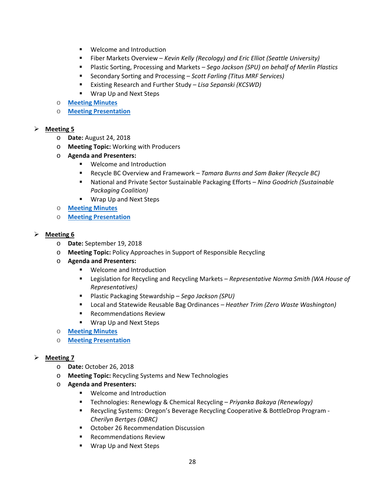- **Welcome and Introduction**
- Fiber Markets Overview *Kevin Kelly (Recology) and Eric Elliot (Seattle University)*
- Plastic Sorting, Processing and Markets *Sego Jackson (SPU) on behalf of Merlin Plastics*
- Secondary Sorting and Processing *Scott Farling (Titus MRF Services)*
- Existing Research and Further Study *Lisa Sepanski (KCSWD)*
- **Wrap Up and Next Steps**
- o **[Meeting Minutes](https://kingcounty.gov/%7E/media/depts/dnrp/solid-waste/about/planning/documents/task-force-minutes-2018-07-18.ashx?la=en)**
- o **[Meeting Presentation](https://kingcounty.gov/%7E/media/depts/dnrp/solid-waste/about/planning/documents/task-force-presentation-2018-07-18.ashx?la=en)**

#### **Meeting 5**

- o **Date:** August 24, 2018
- o **Meeting Topic:** Working with Producers
- o **Agenda and Presenters:** 
	- **Welcome and Introduction**
	- Recycle BC Overview and Framework  *Tamara Burns and Sam Baker (Recycle BC)*
	- National and Private Sector Sustainable Packaging Efforts *Nina Goodrich (Sustainable Packaging Coalition)*
	- **Wrap Up and Next Steps**
- o **[Meeting Minutes](https://kingcounty.gov/%7E/media/depts/dnrp/solid-waste/about/planning/documents/task-force-minutes-2018-08-24.ashx?la=en)**
- o **[Meeting Presentation](https://kingcounty.gov/%7E/media/depts/dnrp/solid-waste/about/planning/documents/task-force-presentation-2018-08-24.ashx?la=en)**

#### **Meeting 6**

- o **Date:** September 19, 2018
- o **Meeting Topic:** Policy Approaches in Support of Responsible Recycling
- o **Agenda and Presenters:** 
	- **Welcome and Introduction**
	- Legislation for Recycling and Recycling Markets *Representative Norma Smith (WA House of Representatives)*
	- Plastic Packaging Stewardship *Sego Jackson (SPU)*
	- Local and Statewide Reusable Bag Ordinances  *Heather Trim (Zero Waste Washington)*
	- **Recommendations Review**
	- **Wrap Up and Next Steps**
- o **[Meeting Minutes](https://kingcounty.gov/%7E/media/depts/dnrp/solid-waste/about/planning/documents/task-force-minutes-2018-09-19.ashx?la=en)**
- o **[Meeting Presentation](https://kingcounty.gov/%7E/media/depts/dnrp/solid-waste/about/planning/documents/task-force-presentation-2018-09-19.ashx?la=en)**

#### **Meeting 7**

- o **Date:** October 26, 2018
- o **Meeting Topic:** Recycling Systems and New Technologies
- o **Agenda and Presenters:** 
	- **Welcome and Introduction**
	- Technologies: Renewlogy & Chemical Recycling *Priyanka Bakaya (Renewlogy)*
	- Recycling Systems: Oregon's Beverage Recycling Cooperative & BottleDrop Program *Cherilyn Bertges (OBRC)*
	- **October 26 Recommendation Discussion**
	- **Recommendations Review**
	- **Wrap Up and Next Steps**